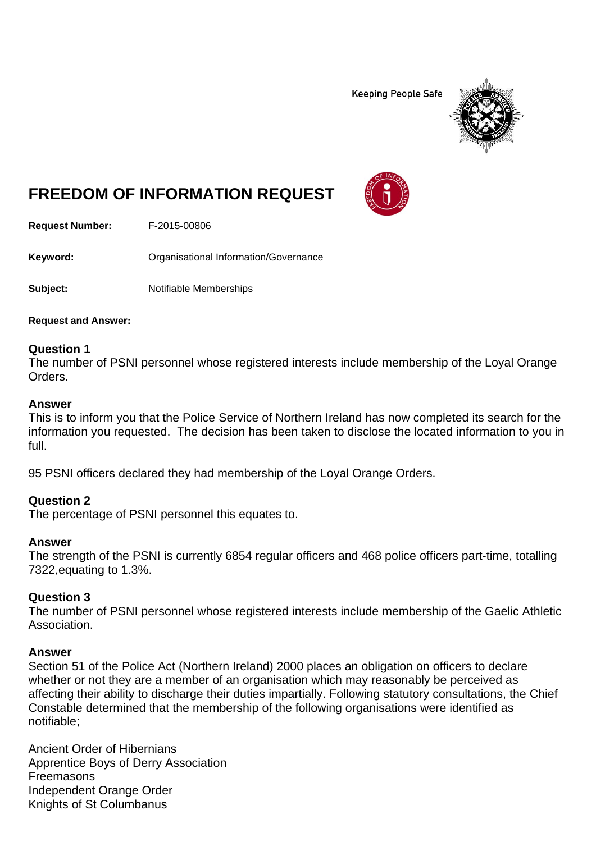**Keeping People Safe** 



# **FREEDOM OF INFORMATION REQUEST**

**Request Number:** F-2015-00806

Keyword: **Communistry Communists** Organisational Information/Governance

**Subject:** Notifiable Memberships

**Request and Answer:** 

#### **Question 1**

The number of PSNI personnel whose registered interests include membership of the Loyal Orange Orders.

#### **Answer**

This is to inform you that the Police Service of Northern Ireland has now completed its search for the information you requested. The decision has been taken to disclose the located information to you in full.

95 PSNI officers declared they had membership of the Loyal Orange Orders.

## **Question 2**

The percentage of PSNI personnel this equates to.

#### **Answer**

The strength of the PSNI is currently 6854 regular officers and 468 police officers part-time, totalling 7322,equating to 1.3%.

## **Question 3**

The number of PSNI personnel whose registered interests include membership of the Gaelic Athletic Association.

#### **Answer**

Section 51 of the Police Act (Northern Ireland) 2000 places an obligation on officers to declare whether or not they are a member of an organisation which may reasonably be perceived as affecting their ability to discharge their duties impartially. Following statutory consultations, the Chief Constable determined that the membership of the following organisations were identified as notifiable;

Ancient Order of Hibernians Apprentice Boys of Derry Association Freemasons Independent Orange Order Knights of St Columbanus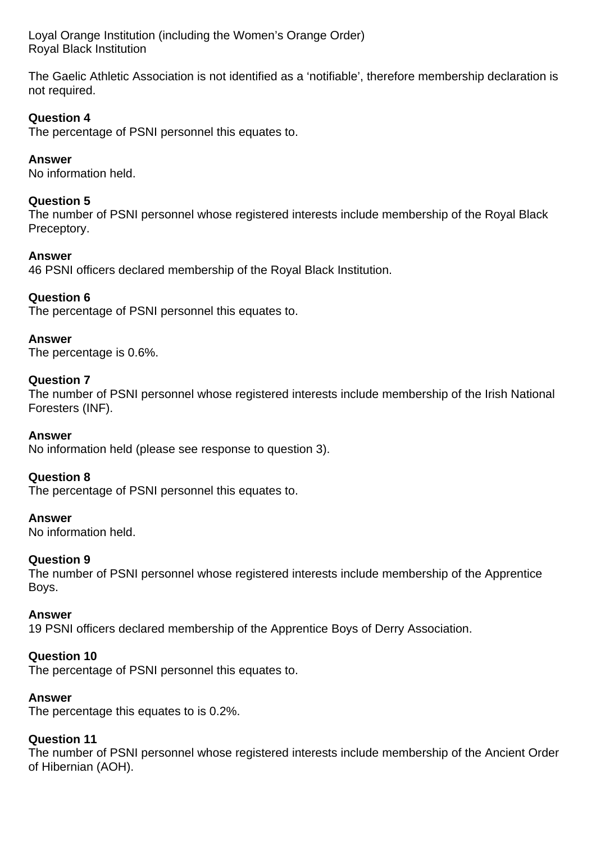Loyal Orange Institution (including the Women's Orange Order) Royal Black Institution

The Gaelic Athletic Association is not identified as a 'notifiable', therefore membership declaration is not required.

# **Question 4**

The percentage of PSNI personnel this equates to.

## **Answer**

No information held.

## **Question 5**

The number of PSNI personnel whose registered interests include membership of the Royal Black Preceptory.

## **Answer**

46 PSNI officers declared membership of the Royal Black Institution.

## **Question 6**

The percentage of PSNI personnel this equates to.

## **Answer**

The percentage is 0.6%.

## **Question 7**

The number of PSNI personnel whose registered interests include membership of the Irish National Foresters (INF).

## **Answer**

No information held (please see response to question 3).

## **Question 8**

The percentage of PSNI personnel this equates to.

## **Answer**

No information held.

## **Question 9**

The number of PSNI personnel whose registered interests include membership of the Apprentice Boys.

#### **Answer**

19 PSNI officers declared membership of the Apprentice Boys of Derry Association.

## **Question 10**

The percentage of PSNI personnel this equates to.

## **Answer**

The percentage this equates to is 0.2%.

## **Question 11**

The number of PSNI personnel whose registered interests include membership of the Ancient Order of Hibernian (AOH).